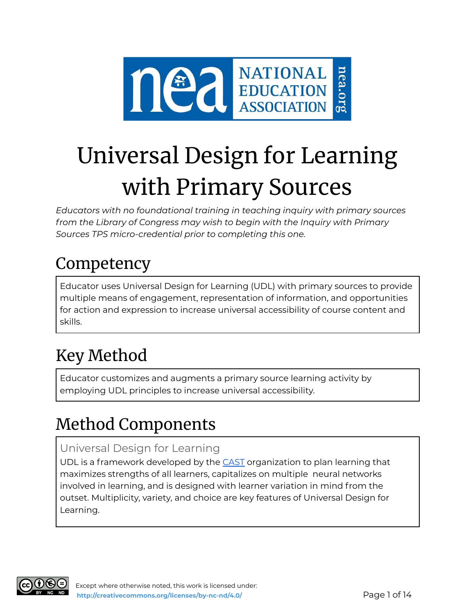

# Universal Design for Learning with Primary Sources

*Educators with no foundational training in teaching inquiry with primary sources from the Library of Congress may wish to begin with the Inquiry with Primary Sources TPS micro-credential prior to completing this one.*

# Competency

Educator uses Universal Design for Learning (UDL) with primary sources to provide multiple means of engagement, representation of information, and opportunities for action and expression to increase universal accessibility of course content and skills.

# Key Method

Educator customizes and augments a primary source learning activity by employing UDL principles to increase universal accessibility.

# Method Components

### Universal Design for Learning

UDL is a framework developed by the [CAST](https://www.cast.org/) organization to plan learning that maximizes strengths of all learners, capitalizes on multiple neural networks involved in learning, and is designed with learner variation in mind from the outset. Multiplicity, variety, and choice are key features of Universal Design for Learning.

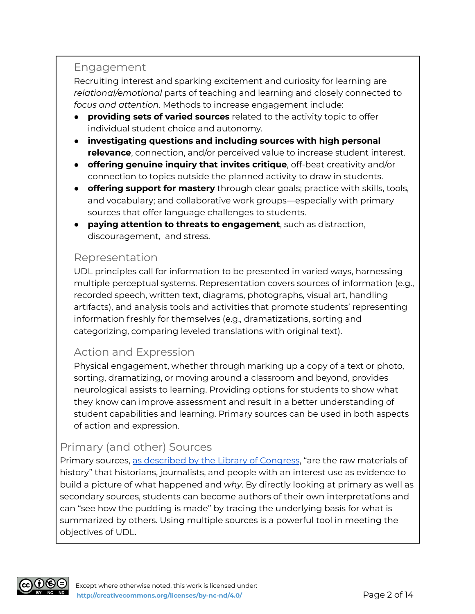#### Engagement

Recruiting interest and sparking excitement and curiosity for learning are *relational/emotional* parts of teaching and learning and closely connected to *focus and attention*. Methods to increase engagement include:

- **providing sets of varied sources** related to the activity topic to offer individual student choice and autonomy.
- **investigating questions and including sources with high personal relevance**, connection, and/or perceived value to increase student interest.
- **offering genuine inquiry that invites critique**, off-beat creativity and/or connection to topics outside the planned activity to draw in students.
- **offering support for mastery** through clear goals; practice with skills, tools, and vocabulary; and collaborative work groups––especially with primary sources that offer language challenges to students.
- **paying attention to threats to engagement**, such as distraction, discouragement, and stress.

#### Representation

UDL principles call for information to be presented in varied ways, harnessing multiple perceptual systems. Representation covers sources of information (e.g., recorded speech, written text, diagrams, photographs, visual art, handling artifacts), and analysis tools and activities that promote students' representing information freshly for themselves (e.g., dramatizations, sorting and categorizing, comparing leveled translations with original text).

### Action and Expression

Physical engagement, whether through marking up a copy of a text or photo, sorting, dramatizing, or moving around a classroom and beyond, provides neurological assists to learning. Providing options for students to show what they know can improve assessment and result in a better understanding of student capabilities and learning. Primary sources can be used in both aspects of action and expression.

### Primary (and other) Sources

Primary sources, as [described](https://www.loc.gov/programs/teachers/getting-started-with-primary-sources/) by the Library of Congress, "are the raw materials of history" that historians, journalists, and people with an interest use as evidence to build a picture of what happened and *why*. By directly looking at primary as well as secondary sources, students can become authors of their own interpretations and can "see how the pudding is made" by tracing the underlying basis for what is summarized by others. Using multiple sources is a powerful tool in meeting the objectives of UDL.

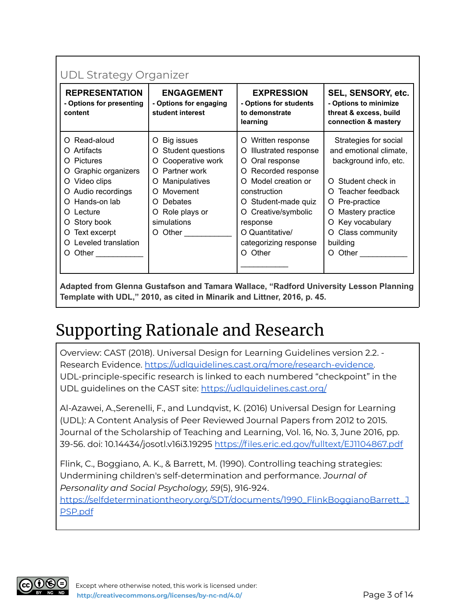| <b>REPRESENTATION</b><br>- Options for presenting<br>content                                                                                                                                                                                                                                                                                                                                                                                                                           | <b>ENGAGEMENT</b><br>- Options for engaging<br>student interest                                                                                                                                              | <b>EXPRESSION</b><br>- Options for students<br>to demonstrate<br>learning                                                                                                                                                                                        | SEL, SENSORY, etc.<br>- Options to minimize<br>threat & excess, build<br>connection & mastery                                                                                                                                                    |
|----------------------------------------------------------------------------------------------------------------------------------------------------------------------------------------------------------------------------------------------------------------------------------------------------------------------------------------------------------------------------------------------------------------------------------------------------------------------------------------|--------------------------------------------------------------------------------------------------------------------------------------------------------------------------------------------------------------|------------------------------------------------------------------------------------------------------------------------------------------------------------------------------------------------------------------------------------------------------------------|--------------------------------------------------------------------------------------------------------------------------------------------------------------------------------------------------------------------------------------------------|
| Read-aloud<br>O.<br>O Artifacts<br><b>Pictures</b><br>O<br>Graphic organizers<br>O<br>Video clips<br>O.<br>Audio recordings<br>O<br>O Hands-on lab<br>Lecture<br>O.<br>Story book<br>O.<br>Text excerpt<br>O<br>Leveled translation<br>O.<br>Other <b>Communist Communist Communist Communist Communist Communist Communist Communist Communist Communist Communist Communist Communist Communist Communist Communist Communist Communist Communist Communist Communist Commu</b><br>O | O Big issues<br>Student questions<br>O<br>Cooperative work<br>O<br>O Partner work<br>Manipulatives<br>O<br>Movement<br>O.<br>Debates<br>O.<br>O Role plays or<br>simulations<br>$O$ Other $\_\_\_\_\_\_\_\_$ | Written response<br>O<br>Illustrated response<br>O<br>Oral response<br>O<br>Recorded response<br>O<br>Model creation or<br>∩<br>construction<br>Student-made quiz<br>O<br>O Creative/symbolic<br>response<br>O Quantitative/<br>categorizing response<br>O Other | Strategies for social<br>and emotional climate,<br>background info, etc.<br>Student check in<br>∩<br>Teacher feedback<br>O.<br>O Pre-practice<br>Mastery practice<br>O.<br>O Key vocabulary<br>Class community<br>$\circ$<br>building<br>O Other |

**Adapted from Glenna Gustafson and Tamara Wallace, "Radford University Lesson Planning Template with UDL," 2010, as cited in Minarik and Littner, 2016, p. 45.**

# Supporting Rationale and Research

Overview: CAST (2018). Universal Design for Learning Guidelines version 2.2. - Research Evidence. [https://udlguidelines.cast.org/more/research-evidence.](https://udlguidelines.cast.org/more/research-evidence) UDL-principle-specific research is linked to each numbered "checkpoint" in the UDL guidelines on the CAST site: <https://udlguidelines.cast.org/>

Al-Azawei, A.,Serenelli, F., and Lundqvist, K. (2016) Universal Design for Learning (UDL): A Content Analysis of Peer Reviewed Journal Papers from 2012 to 2015. Journal of the Scholarship of Teaching and Learning, Vol. 16, No. 3, June 2016, pp. 39-56. doi: 10.14434/josotl.v16i3.19295 <https://files.eric.ed.gov/fulltext/EJ1104867.pdf>

Flink, C., Boggiano, A. K., & Barrett, M. (1990). Controlling teaching strategies: Undermining children's self-determination and performance. *Journal of Personality and Social Psychology, 59*(5), 916-924.

[https://selfdeterminationtheory.org/SDT/documents/1990\\_FlinkBoggianoBarrett\\_J](https://selfdeterminationtheory.org/SDT/documents/1990_FlinkBoggianoBarrett_JPSP.pdf) [PSP.pdf](https://selfdeterminationtheory.org/SDT/documents/1990_FlinkBoggianoBarrett_JPSP.pdf)

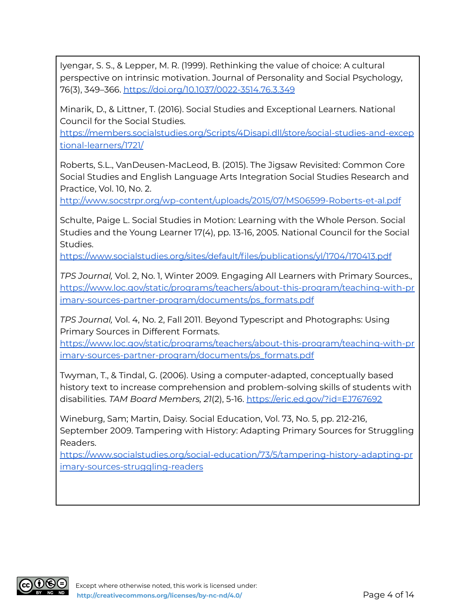Iyengar, S. S., & Lepper, M. R. (1999). Rethinking the value of choice: A cultural perspective on intrinsic motivation. Journal of Personality and Social Psychology, 76(3), 349–366. <https://doi.org/10.1037/0022-3514.76.3.349>

Minarik, D., & Littner, T. (2016). Social Studies and Exceptional Learners. National Council for the Social Studies.

[https://members.socialstudies.org/Scripts/4Disapi.dll/store/social-studies-and-excep](https://members.socialstudies.org/Scripts/4Disapi.dll/store/social-studies-and-exceptional-learners/1721/) [tional-learners/1721/](https://members.socialstudies.org/Scripts/4Disapi.dll/store/social-studies-and-exceptional-learners/1721/)

Roberts, S.L., VanDeusen-MacLeod, B. (2015). The Jigsaw Revisited: Common Core Social Studies and English Language Arts Integration Social Studies Research and Practice, Vol. 10, No. 2.

<http://www.socstrpr.org/wp-content/uploads/2015/07/MS06599-Roberts-et-al.pdf>

Schulte, Paige L. Social Studies in Motion: Learning with the Whole Person. Social Studies and the Young Learner 17(4), pp. 13-16, 2005. National Council for the Social Studies.

<https://www.socialstudies.org/sites/default/files/publications/yl/1704/170413.pdf>

*TPS Journal,* Vol. 2, No. 1, Winter 2009. Engaging All Learners with Primary Sources., [https://www.loc.gov/static/programs/teachers/about-this-program/teaching-with-pr](https://www.loc.gov/static/programs/teachers/about-this-program/teaching-with-primary-sources-partner-program/documents/ps_formats.pdf) [imary-sources-partner-program/documents/ps\\_formats.pdf](https://www.loc.gov/static/programs/teachers/about-this-program/teaching-with-primary-sources-partner-program/documents/ps_formats.pdf)

*TPS Journal,* Vol. 4, No. 2, Fall 2011. Beyond Typescript and Photographs: Using Primary Sources in Different Formats.

[https://www.loc.gov/static/programs/teachers/about-this-program/teaching-with-pr](https://www.loc.gov/static/programs/teachers/about-this-program/teaching-with-primary-sources-partner-program/documents/ps_formats.pdf) [imary-sources-partner-program/documents/ps\\_formats.pdf](https://www.loc.gov/static/programs/teachers/about-this-program/teaching-with-primary-sources-partner-program/documents/ps_formats.pdf)

Twyman, T., & Tindal, G. (2006). Using a computer-adapted, conceptually based history text to increase comprehension and problem-solving skills of students with disabilities. *TAM Board Members, 21*(2), 5-16. <https://eric.ed.gov/?id=EJ767692>

Wineburg, Sam; Martin, Daisy. Social Education, Vol. 73, No. 5, pp. 212-216, September 2009. Tampering with History: Adapting Primary Sources for Struggling Readers.

[https://www.socialstudies.org/social-education/73/5/tampering-history-adapting-pr](https://www.socialstudies.org/social-education/73/5/tampering-history-adapting-primary-sources-struggling-readers) [imary-sources-struggling-readers](https://www.socialstudies.org/social-education/73/5/tampering-history-adapting-primary-sources-struggling-readers)

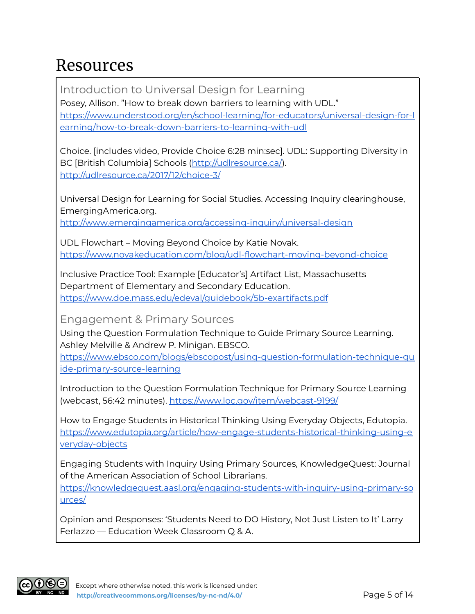## Resources

Introduction to Universal Design for Learning Posey, Allison. "How to break down barriers to learning with UDL." [https://www.understood.org/en/school-learning/for-educators/universal-design-for-l](https://www.understood.org/en/school-learning/for-educators/universal-design-for-learning/how-to-break-down-barriers-to-learning-with-udl) [earning/how-to-break-down-barriers-to-learning-with-udl](https://www.understood.org/en/school-learning/for-educators/universal-design-for-learning/how-to-break-down-barriers-to-learning-with-udl)

Choice. [includes video, Provide Choice 6:28 min:sec]. UDL: Supporting Diversity in BC [British Columbia] Schools [\(http://udlresource.ca/\)](http://udlresource.ca/). <http://udlresource.ca/2017/12/choice-3/>

Universal Design for Learning for Social Studies. Accessing Inquiry clearinghouse, EmergingAmerica.org.

<http://www.emergingamerica.org/accessing-inquiry/universal-design>

UDL Flowchart – Moving Beyond Choice by Katie Novak. <https://www.novakeducation.com/blog/udl-flowchart-moving-beyond-choice>

Inclusive Practice Tool: Example [Educator's] Artifact List, Massachusetts Department of Elementary and Secondary Education. <https://www.doe.mass.edu/edeval/guidebook/5b-exartifacts.pdf>

Engagement & Primary Sources

Using the Question Formulation Technique to Guide Primary Source Learning. Ashley Melville & Andrew P. Minigan. EBSCO.

[https://www.ebsco.com/blogs/ebscopost/using-question-formulation-technique-gu](https://www.ebsco.com/blogs/ebscopost/using-question-formulation-technique-guide-primary-source-learning) [ide-primary-source-learning](https://www.ebsco.com/blogs/ebscopost/using-question-formulation-technique-guide-primary-source-learning)

Introduction to the Question Formulation Technique for Primary Source Learning (webcast, 56:42 minutes). <https://www.loc.gov/item/webcast-9199/>

How to Engage Students in Historical Thinking Using Everyday Objects, Edutopia. [https://www.edutopia.org/article/how-engage-students-historical-thinking-using-e](https://www.edutopia.org/article/how-engage-students-historical-thinking-using-everyday-objects) [veryday-objects](https://www.edutopia.org/article/how-engage-students-historical-thinking-using-everyday-objects)

Engaging Students with Inquiry Using Primary Sources, KnowledgeQuest: Journal of the American Association of School Librarians.

[https://knowledgequest.aasl.org/engaging-students-with-inquiry-using-primary-so](https://knowledgequest.aasl.org/engaging-students-with-inquiry-using-primary-sources/) [urces/](https://knowledgequest.aasl.org/engaging-students-with-inquiry-using-primary-sources/)

Opinion and Responses: 'Students Need to DO History, Not Just Listen to It' Larry Ferlazzo — Education Week Classroom Q & A.

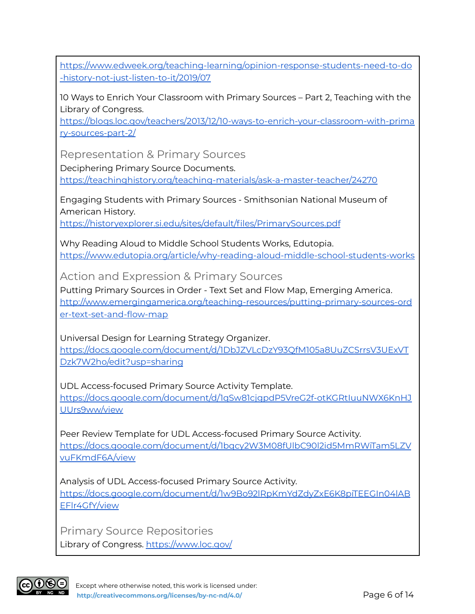[https://www.edweek.org/teaching-learning/opinion-response-students-need-to-do](https://www.edweek.org/teaching-learning/opinion-response-students-need-to-do-history-not-just-listen-to-it/2019/07) [-history-not-just-listen-to-it/2019/07](https://www.edweek.org/teaching-learning/opinion-response-students-need-to-do-history-not-just-listen-to-it/2019/07)

10 Ways to Enrich Your Classroom with Primary Sources – Part 2, Teaching with the Library of Congress.

[https://blogs.loc.gov/teachers/2013/12/10-ways-to-enrich-your-classroom-with-prima](https://blogs.loc.gov/teachers/2013/12/10-ways-to-enrich-your-classroom-with-primary-sources-part-2/) [ry-sources-part-2/](https://blogs.loc.gov/teachers/2013/12/10-ways-to-enrich-your-classroom-with-primary-sources-part-2/)

Representation & Primary Sources

Deciphering Primary Source Documents.

<https://teachinghistory.org/teaching-materials/ask-a-master-teacher/24270>

Engaging Students with Primary Sources - Smithsonian National Museum of American History.

<https://historyexplorer.si.edu/sites/default/files/PrimarySources.pdf>

Why Reading Aloud to Middle School Students Works, Edutopia. <https://www.edutopia.org/article/why-reading-aloud-middle-school-students-works>

Action and Expression & Primary Sources

Putting Primary Sources in Order - Text Set and Flow Map, Emerging America. [http://www.emergingamerica.org/teaching-resources/putting-primary-sources-ord](http://www.emergingamerica.org/teaching-resources/putting-primary-sources-order-text-set-and-flow-map) [er-text-set-and-flow-map](http://www.emergingamerica.org/teaching-resources/putting-primary-sources-order-text-set-and-flow-map)

Universal Design for Learning Strategy Organizer. [https://docs.google.com/document/d/1DbJZVLcDzY93QfM105a8UuZCSrrsV3UExVT](https://docs.google.com/document/d/1DbJZVLcDzY93QfM105a8UuZCSrrsV3UExVTDzk7W2ho/edit?usp=sharing) [Dzk7W2ho/edit?usp=sharing](https://docs.google.com/document/d/1DbJZVLcDzY93QfM105a8UuZCSrrsV3UExVTDzk7W2ho/edit?usp=sharing)

UDL Access-focused Primary Source Activity Template. [https://docs.google.com/document/d/1qSw81cjgpdP5VreG2f-otKGRtIuuNWX6KnHJ](https://docs.google.com/document/d/1qSw81cjgpdP5VreG2f-otKGRtIuuNWX6KnHJUUrs9ww/view) [UUrs9ww/view](https://docs.google.com/document/d/1qSw81cjgpdP5VreG2f-otKGRtIuuNWX6KnHJUUrs9ww/view)

Peer Review Template for UDL Access-focused Primary Source Activity. [https://docs.google.com/document/d/1bqcy2W3M08fUlbC90l2id5MmRWiTam5LZV](https://docs.google.com/document/d/1bqcy2W3M08fUlbC90l2id5MmRWiTam5LZVvuFKmdF6A/view) [vuFKmdF6A/view](https://docs.google.com/document/d/1bqcy2W3M08fUlbC90l2id5MmRWiTam5LZVvuFKmdF6A/view)

Analysis of UDL Access-focused Primary Source Activity. [https://docs.google.com/document/d/1w9Bo92lRpKmYdZdyZxE6K8piTEEGIn04lAB](https://docs.google.com/document/d/1w9Bo92lRpKmYdZdyZxE6K8piTEEGIn04lABEFlr4GfY/view) [EFlr4GfY/view](https://docs.google.com/document/d/1w9Bo92lRpKmYdZdyZxE6K8piTEEGIn04lABEFlr4GfY/view)

Primary Source Repositories Library of Congress. <https://www.loc.gov/>

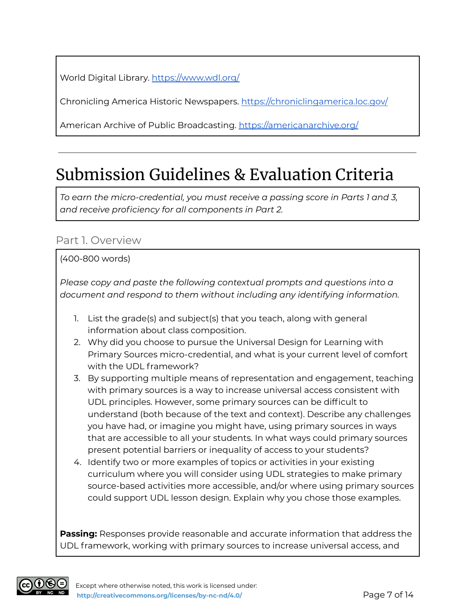World Digital Library. <https://www.wdl.org/>

Chronicling America Historic Newspapers. <https://chroniclingamerica.loc.gov/>

American Archive of Public Broadcasting. <https://americanarchive.org/>

# Submission Guidelines & Evaluation Criteria

*To earn the micro-credential, you must receive a passing score in Parts 1 and 3, and receive proficiency for all components in Part 2.*

### Part 1. Overview

#### (400-800 words)

*Please copy and paste the following contextual prompts and questions into a document and respond to them without including any identifying information.*

- 1. List the grade(s) and subject(s) that you teach, along with general information about class composition.
- 2. Why did you choose to pursue the Universal Design for Learning with Primary Sources micro-credential, and what is your current level of comfort with the UDL framework?
- 3. By supporting multiple means of representation and engagement, teaching with primary sources is a way to increase universal access consistent with UDL principles. However, some primary sources can be difficult to understand (both because of the text and context). Describe any challenges you have had, or imagine you might have, using primary sources in ways that are accessible to all your students. In what ways could primary sources present potential barriers or inequality of access to your students?
- 4. Identify two or more examples of topics or activities in your existing curriculum where you will consider using UDL strategies to make primary source-based activities more accessible, and/or where using primary sources could support UDL lesson design. Explain why you chose those examples.

**Passing:** Responses provide reasonable and accurate information that address the UDL framework, working with primary sources to increase universal access, and

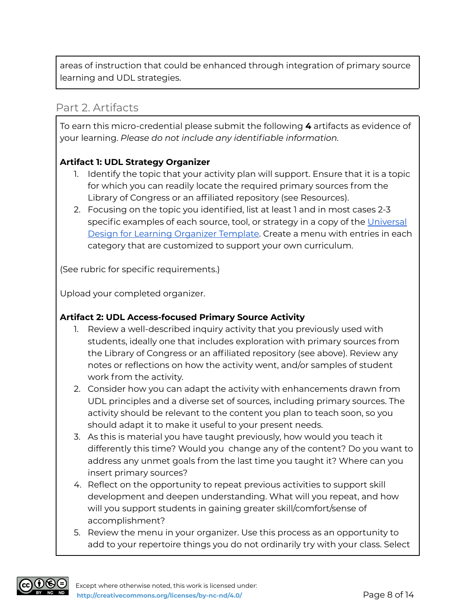areas of instruction that could be enhanced through integration of primary source learning and UDL strategies.

#### Part 2. Artifacts

To earn this micro-credential please submit the following **4** artifacts as evidence of your learning. *Please do not include any identifiable information.*

#### **Artifact 1: UDL Strategy Organizer**

- 1. Identify the topic that your activity plan will support. Ensure that it is a topic for which you can readily locate the required primary sources from the Library of Congress or an affiliated repository (see Resources).
- 2. Focusing on the topic you identified, list at least 1 and in most cases 2-3 specific examples of each source, tool, or strategy in a copy of the [Universal](https://docs.google.com/document/d/1DbJZVLcDzY93QfM105a8UuZCSrrsV3UExVTDzk7W2ho/view) Design for Learning [Organizer](https://docs.google.com/document/d/1DbJZVLcDzY93QfM105a8UuZCSrrsV3UExVTDzk7W2ho/view) Template. Create a menu with entries in each category that are customized to support your own curriculum.

(See rubric for specific requirements.)

Upload your completed organizer.

#### **Artifact 2: UDL Access-focused Primary Source Activity**

- 1. Review a well-described inquiry activity that you previously used with students, ideally one that includes exploration with primary sources from the Library of Congress or an affiliated repository (see above). Review any notes or reflections on how the activity went, and/or samples of student work from the activity.
- 2. Consider how you can adapt the activity with enhancements drawn from UDL principles and a diverse set of sources, including primary sources. The activity should be relevant to the content you plan to teach soon, so you should adapt it to make it useful to your present needs.
- 3. As this is material you have taught previously, how would you teach it differently this time? Would you change any of the content? Do you want to address any unmet goals from the last time you taught it? Where can you insert primary sources?
- 4. Reflect on the opportunity to repeat previous activities to support skill development and deepen understanding. What will you repeat, and how will you support students in gaining greater skill/comfort/sense of accomplishment?
- 5. Review the menu in your organizer. Use this process as an opportunity to add to your repertoire things you do not ordinarily try with your class. Select

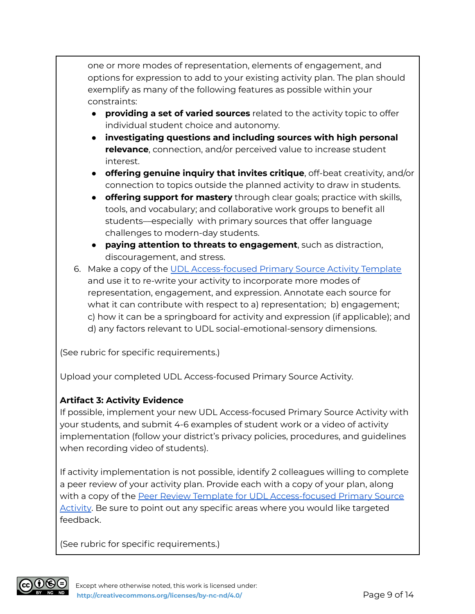one or more modes of representation, elements of engagement, and options for expression to add to your existing activity plan. The plan should exemplify as many of the following features as possible within your constraints:

- **providing a set of varied sources** related to the activity topic to offer individual student choice and autonomy.
- **investigating questions and including sources with high personal relevance**, connection, and/or perceived value to increase student interest.
- **offering genuine inquiry that invites critique**, off-beat creativity, and/or connection to topics outside the planned activity to draw in students.
- **offering support for mastery** through clear goals; practice with skills, tools, and vocabulary; and collaborative work groups to benefit all students––especially with primary sources that offer language challenges to modern-day students.
- **paying attention to threats to engagement**, such as distraction, discouragement, and stress.
- 6. Make a copy of the UDL [Access-focused](https://docs.google.com/document/d/1qSw81cjgpdP5VreG2f-otKGRtIuuNWX6KnHJUUrs9ww/view) Primary Source Activity Template and use it to re-write your activity to incorporate more modes of representation, engagement, and expression. Annotate each source for what it can contribute with respect to a) representation; b) engagement; c) how it can be a springboard for activity and expression (if applicable); and d) any factors relevant to UDL social-emotional-sensory dimensions.

(See rubric for specific requirements.)

Upload your completed UDL Access-focused Primary Source Activity.

#### **Artifact 3: Activity Evidence**

If possible, implement your new UDL Access-focused Primary Source Activity with your students, and submit 4-6 examples of student work or a video of activity implementation (follow your district's privacy policies, procedures, and guidelines when recording video of students).

If activity implementation is not possible, identify 2 colleagues willing to complete a peer review of your activity plan. Provide each with a copy of your plan, along with a copy of the Peer Review Template for UDL [Access-focused](https://docs.google.com/document/d/1bqcy2W3M08fUlbC90l2id5MmRWiTam5LZVvuFKmdF6A/view) Primary Source [Activity.](https://docs.google.com/document/d/1bqcy2W3M08fUlbC90l2id5MmRWiTam5LZVvuFKmdF6A/view) Be sure to point out any specific areas where you would like targeted feedback.

(See rubric for specific requirements.)

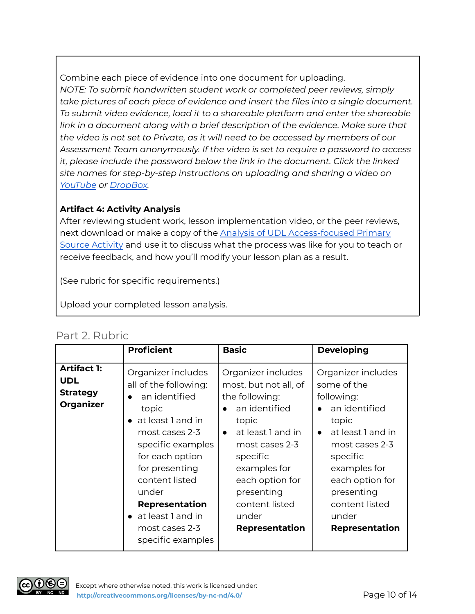Combine each piece of evidence into one document for uploading. *NOTE: To submit handwritten student work or completed peer reviews, simply take pictures of each piece of evidence and insert the files into a single document. To submit video evidence, load it to a shareable platform and enter the shareable link in a document along with a brief description of the evidence. Make sure that the video is not set to Private, as it will need to be accessed by members of our Assessment Team anonymously. If the video is set to require a password to access it, please include the password below the link in the document. Click the linked site names for step-by-step instructions on uploading and sharing a video on [YouTube](https://www.youtube.com/watch?v=6C4dEpT0rYg&feature=emb_title) or [DropBox](https://help.dropbox.com/files-folders/share/share-with-others).*

#### **Artifact 4: Activity Analysis**

After reviewing student work, lesson implementation video, or the peer reviews, next download or make a copy of the **Analysis of UDL [Access-focused](https://docs.google.com/document/d/1w9Bo92lRpKmYdZdyZxE6K8piTEEGIn04lABEFlr4GfY/view) Primary** Source [Activity](https://docs.google.com/document/d/1w9Bo92lRpKmYdZdyZxE6K8piTEEGIn04lABEFlr4GfY/view) and use it to discuss what the process was like for you to teach or receive feedback, and how you'll modify your lesson plan as a result.

(See rubric for specific requirements.)

Upload your completed lesson analysis.

### Part 2. Rubric

|                                                                         | <b>Proficient</b>                                                                                                                                                                                                                                                                 | <b>Basic</b>                                                                                                                                                                                                                                                 | <b>Developing</b>                                                                                                                                                                                                                              |
|-------------------------------------------------------------------------|-----------------------------------------------------------------------------------------------------------------------------------------------------------------------------------------------------------------------------------------------------------------------------------|--------------------------------------------------------------------------------------------------------------------------------------------------------------------------------------------------------------------------------------------------------------|------------------------------------------------------------------------------------------------------------------------------------------------------------------------------------------------------------------------------------------------|
| <b>Artifact 1:</b><br><b>UDL</b><br><b>Strategy</b><br><b>Organizer</b> | Organizer includes<br>all of the following:<br>an identified<br>topic<br>at least 1 and in<br>most cases 2-3<br>specific examples<br>for each option<br>for presenting<br>content listed<br>under<br>Representation<br>• at least 1 and in<br>most cases 2-3<br>specific examples | Organizer includes<br>most, but not all, of<br>the following:<br>an identified<br>topic<br>at least 1 and in<br>$\bullet$<br>most cases 2-3<br>specific<br>examples for<br>each option for<br>presenting<br>content listed<br>under<br><b>Representation</b> | Organizer includes<br>some of the<br>following:<br>an identified<br>topic<br>at least 1 and in<br>$\bullet$<br>most cases 2-3<br>specific<br>examples for<br>each option for<br>presenting<br>content listed<br>under<br><b>Representation</b> |

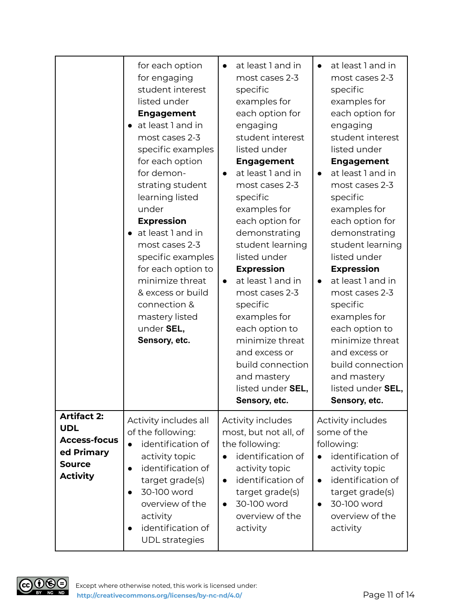|                                                                                                           | for each option<br>for engaging<br>student interest<br>listed under<br><b>Engagement</b><br>at least 1 and in<br>most cases 2-3<br>specific examples<br>for each option<br>for demon-<br>strating student<br>learning listed<br>under<br><b>Expression</b><br>• at least 1 and in<br>most cases 2-3<br>specific examples<br>for each option to<br>minimize threat<br>& excess or build<br>connection &<br>mastery listed<br>under SEL,<br>Sensory, etc. | at least 1 and in<br>$\bullet$<br>most cases 2-3<br>specific<br>examples for<br>each option for<br>engaging<br>student interest<br>listed under<br><b>Engagement</b><br>at least 1 and in<br>$\bullet$<br>most cases 2-3<br>specific<br>examples for<br>each option for<br>demonstrating<br>student learning<br>listed under<br><b>Expression</b><br>at least 1 and in<br>$\bullet$<br>most cases 2-3<br>specific<br>examples for<br>each option to<br>minimize threat<br>and excess or<br>build connection<br>and mastery<br>listed under SEL,<br>Sensory, etc. | at least 1 and in<br>$\bullet$<br>most cases 2-3<br>specific<br>examples for<br>each option for<br>engaging<br>student interest<br>listed under<br><b>Engagement</b><br>at least 1 and in<br>$\bullet$<br>most cases 2-3<br>specific<br>examples for<br>each option for<br>demonstrating<br>student learning<br>listed under<br><b>Expression</b><br>at least 1 and in<br>$\bullet$<br>most cases 2-3<br>specific<br>examples for<br>each option to<br>minimize threat<br>and excess or<br>build connection<br>and mastery<br>listed under SEL,<br>Sensory, etc. |
|-----------------------------------------------------------------------------------------------------------|---------------------------------------------------------------------------------------------------------------------------------------------------------------------------------------------------------------------------------------------------------------------------------------------------------------------------------------------------------------------------------------------------------------------------------------------------------|------------------------------------------------------------------------------------------------------------------------------------------------------------------------------------------------------------------------------------------------------------------------------------------------------------------------------------------------------------------------------------------------------------------------------------------------------------------------------------------------------------------------------------------------------------------|------------------------------------------------------------------------------------------------------------------------------------------------------------------------------------------------------------------------------------------------------------------------------------------------------------------------------------------------------------------------------------------------------------------------------------------------------------------------------------------------------------------------------------------------------------------|
| <b>Artifact 2:</b><br><b>UDL</b><br><b>Access-focus</b><br>ed Primary<br><b>Source</b><br><b>Activity</b> | Activity includes all<br>of the following:<br>identification of<br>$\bullet$<br>activity topic<br>identification of<br>$\bullet$<br>target grade(s)<br>30-100 word<br>overview of the<br>activity<br>identification of<br><b>UDL</b> strategies                                                                                                                                                                                                         | Activity includes<br>most, but not all, of<br>the following:<br>identification of<br>activity topic<br>identification of<br>$\bullet$<br>target grade(s)<br>30-100 word<br>$\bullet$<br>overview of the<br>activity                                                                                                                                                                                                                                                                                                                                              | Activity includes<br>some of the<br>following:<br>identification of<br>activity topic<br>identification of<br>$\bullet$<br>target grade(s)<br>30-100 word<br>$\bullet$<br>overview of the<br>activity                                                                                                                                                                                                                                                                                                                                                            |

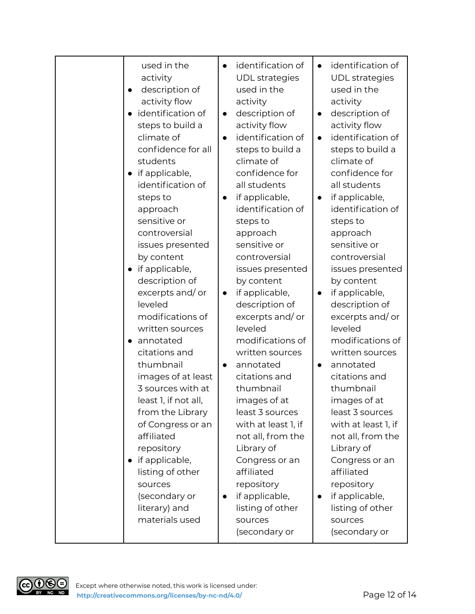| used in the<br>activity<br>description of<br>$\bullet$<br>activity flow<br>identification of<br>$\bullet$<br>steps to build a<br>climate of<br>confidence for all<br>students<br>if applicable,<br>$\bullet$<br>identification of<br>steps to<br>approach<br>sensitive or<br>controversial<br>issues presented<br>by content<br>if applicable,<br>$\bullet$<br>description of<br>excerpts and/or<br>leveled<br>modifications of<br>written sources<br>annotated<br>citations and<br>thumbnail<br>images of at least<br>3 sources with at<br>least 1, if not all,<br>from the Library<br>of Congress or an<br>affiliated<br>repository<br>if applicable,<br>$\bullet$<br>listing of other<br>sources<br>(secondary or | identification of<br>$\bullet$<br><b>UDL</b> strategies<br>used in the<br>activity<br>description of<br>$\bullet$<br>activity flow<br>identification of<br>$\bullet$<br>steps to build a<br>climate of<br>confidence for<br>all students<br>if applicable,<br>$\bullet$<br>identification of<br>steps to<br>approach<br>sensitive or<br>controversial<br>issues presented<br>by content<br>if applicable,<br>$\bullet$<br>description of<br>excerpts and/or<br>leveled<br>modifications of<br>written sources<br>annotated<br>$\bullet$<br>citations and<br>thumbnail<br>images of at<br>least 3 sources<br>with at least 1, if<br>not all, from the<br>Library of<br>Congress or an<br>affiliated<br>repository<br>if applicable,<br>$\bullet$ | identification of<br>$\bullet$<br><b>UDL</b> strategies<br>used in the<br>activity<br>description of<br>$\bullet$<br>activity flow<br>identification of<br>$\bullet$<br>steps to build a<br>climate of<br>confidence for<br>all students<br>if applicable,<br>$\bullet$<br>identification of<br>steps to<br>approach<br>sensitive or<br>controversial<br>issues presented<br>by content<br>if applicable,<br>$\bullet$<br>description of<br>excerpts and/or<br>leveled<br>modifications of<br>written sources<br>annotated<br>$\bullet$<br>citations and<br>thumbnail<br>images of at<br>least 3 sources<br>with at least 1, if<br>not all, from the<br>Library of<br>Congress or an<br>affiliated<br>repository<br>if applicable,<br>$\bullet$ |
|----------------------------------------------------------------------------------------------------------------------------------------------------------------------------------------------------------------------------------------------------------------------------------------------------------------------------------------------------------------------------------------------------------------------------------------------------------------------------------------------------------------------------------------------------------------------------------------------------------------------------------------------------------------------------------------------------------------------|-------------------------------------------------------------------------------------------------------------------------------------------------------------------------------------------------------------------------------------------------------------------------------------------------------------------------------------------------------------------------------------------------------------------------------------------------------------------------------------------------------------------------------------------------------------------------------------------------------------------------------------------------------------------------------------------------------------------------------------------------|-------------------------------------------------------------------------------------------------------------------------------------------------------------------------------------------------------------------------------------------------------------------------------------------------------------------------------------------------------------------------------------------------------------------------------------------------------------------------------------------------------------------------------------------------------------------------------------------------------------------------------------------------------------------------------------------------------------------------------------------------|
| literary) and<br>materials used                                                                                                                                                                                                                                                                                                                                                                                                                                                                                                                                                                                                                                                                                      | listing of other<br>sources<br>(secondary or                                                                                                                                                                                                                                                                                                                                                                                                                                                                                                                                                                                                                                                                                                    | listing of other<br>sources<br>(secondary or                                                                                                                                                                                                                                                                                                                                                                                                                                                                                                                                                                                                                                                                                                    |

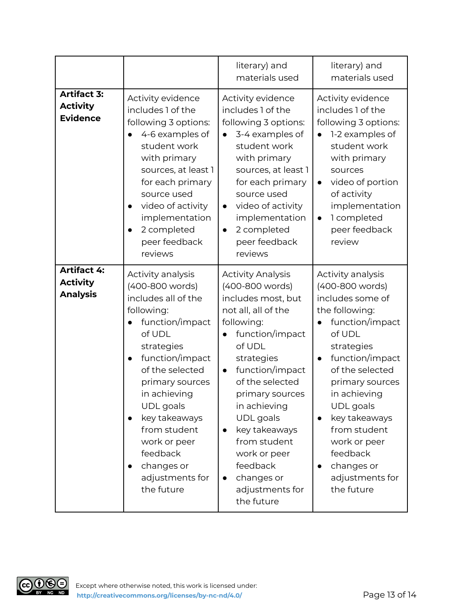|                                                          |                                                                                                                                                                                                                                                                                                                                            | literary) and<br>materials used                                                                                                                                                                                                                                                                                                                                                            | literary) and<br>materials used                                                                                                                                                                                                                                                                                                                                |
|----------------------------------------------------------|--------------------------------------------------------------------------------------------------------------------------------------------------------------------------------------------------------------------------------------------------------------------------------------------------------------------------------------------|--------------------------------------------------------------------------------------------------------------------------------------------------------------------------------------------------------------------------------------------------------------------------------------------------------------------------------------------------------------------------------------------|----------------------------------------------------------------------------------------------------------------------------------------------------------------------------------------------------------------------------------------------------------------------------------------------------------------------------------------------------------------|
| <b>Artifact 3:</b><br><b>Activity</b><br><b>Evidence</b> | Activity evidence<br>includes 1 of the<br>following 3 options:<br>4-6 examples of<br>student work<br>with primary<br>sources, at least 1<br>for each primary<br>source used<br>video of activity<br>$\bullet$<br>implementation<br>2 completed<br>peer feedback<br>reviews                                                                 | Activity evidence<br>includes 1 of the<br>following 3 options:<br>3-4 examples of<br>student work<br>with primary<br>sources, at least 1<br>for each primary<br>source used<br>video of activity<br>$\bullet$<br>implementation<br>2 completed<br>$\bullet$<br>peer feedback<br>reviews                                                                                                    | Activity evidence<br>includes 1 of the<br>following 3 options:<br>1-2 examples of<br>student work<br>with primary<br>sources<br>video of portion<br>$\bullet$<br>of activity<br>implementation<br>1 completed<br>$\bullet$<br>peer feedback<br>review                                                                                                          |
| <b>Artifact 4:</b><br><b>Activity</b><br><b>Analysis</b> | Activity analysis<br>(400-800 words)<br>includes all of the<br>following:<br>function/impact<br>of UDL<br>strategies<br>function/impact<br>$\bullet$<br>of the selected<br>primary sources<br>in achieving<br><b>UDL</b> goals<br>key takeaways<br>from student<br>work or peer<br>feedback<br>changes or<br>adjustments for<br>the future | <b>Activity Analysis</b><br>(400-800 words)<br>includes most, but<br>not all, all of the<br>following:<br>function/impact<br>of UDL<br>strategies<br>function/impact<br>$\bullet$<br>of the selected<br>primary sources<br>in achieving<br>UDL goals<br>key takeaways<br>$\bullet$<br>from student<br>work or peer<br>feedback<br>changes or<br>$\bullet$<br>adjustments for<br>the future | Activity analysis<br>(400-800 words)<br>includes some of<br>the following:<br>function/impact<br>of UDL<br>strategies<br>function/impact<br>$\bullet$<br>of the selected<br>primary sources<br>in achieving<br>UDL goals<br>key takeaways<br>$\bullet$<br>from student<br>work or peer<br>feedback<br>changes or<br>$\bullet$<br>adjustments for<br>the future |